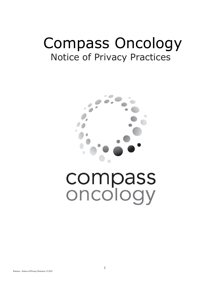## Compass Oncology Notice of Privacy Practices



# compass oncology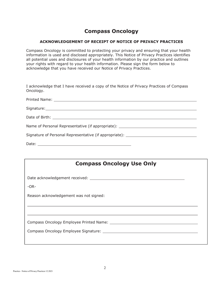### **Compass Oncology**

#### **ACKNOWLEDGEMENT OF RECEIPT OF NOTICE OF PRIVACY PRACTICES**

Compass Oncology is committed to protecting your privacy and ensuring that your health information is used and disclosed appropriately. This Notice of Privacy Practices identifies all potential uses and disclosures of your health information by our practice and outlines your rights with regard to your health information. Please sign the form below to acknowledge that you have received our Notice of Privacy Practices.

I acknowledge that I have received a copy of the Notice of Privacy Practices of Compass Oncology.

| Name of Personal Representative (if appropriate): ______________________________ |
|----------------------------------------------------------------------------------|
| Signature of Personal Representative (if appropriate): _________________________ |
|                                                                                  |

| <b>Compass Oncology Use Only</b>       |
|----------------------------------------|
|                                        |
| $-OR-$                                 |
| Reason acknowledgement was not signed: |
|                                        |
|                                        |
|                                        |
|                                        |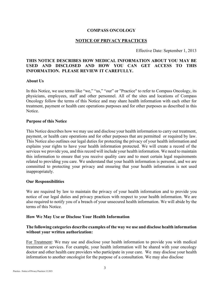#### **COMPASS ONCOLOGY**

#### **NOTICE OF PRIVACY PRACTICES**

Effective Date: September 1, 2013

#### **THIS NOTICE DESCRIBES HOW MEDICAL INFORMATION ABOUT YOU MAY BE USED AND DISCLOSED AND HOW YOU CAN GET ACCESS TO THIS INFORMATION. PLEASE REVIEW IT CAREFULLY.**

#### **About Us**

In this Notice, we use terms like "we," "us," "our" or "Practice" to refer to Compass Oncology, its physicians, employees, staff and other personnel. All of the sites and locations of Compass Oncology follow the terms of this Notice and may share health information with each other for treatment, payment or health care operations purposes and for other purposes as described in this Notice.

#### **Purpose of this Notice**

This Notice describes how we may use and disclose your health information to carry out treatment, payment, or health care operations and for other purposes that are permitted or required by law. This Notice also outlines our legal duties for protecting the privacy of your health information and explains your rights to have your health information protected. We will create a record of the services we provide you, and this record will include your health information. We need to maintain this information to ensure that you receive quality care and to meet certain legal requirements related to providing you care. We understand that your health information is personal, and we are committed to protecting your privacy and ensuring that your health information is not used inappropriately.

#### **Our Responsibilities**

We are required by law to maintain the privacy of your health information and to provide you notice of our legal duties and privacy practices with respect to your health information. We are also required to notify you of a breach of your unsecured health information. We will abide by the terms of this Notice.

#### **How We May Use or Disclose Your Health Information**

#### **The following categories describe examples of the way we use and disclose health information without your written authorization:**

For Treatment: We may use and disclose your health information to provide you with medical treatment or services. For example, your health information will be shared with your oncology doctor and other health care providers who participate in your care. We may disclose your health information to another oncologist for the purpose of a consultation. We may also disclose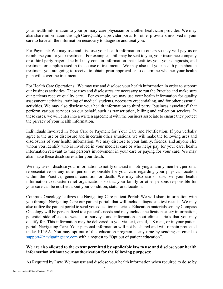your health information to your primary care physician or another healthcare provider. We may also share information through CareQuality a provider portal for other providers involved in your care to have all the information necessary to diagnose and treat you.

For Payment: We may use and disclose your health information to others so they will pay us or reimburse you for your treatment. For example, a bill may be sent to you, your insurance company or a third-party payer. The bill may contain information that identifies you, your diagnosis, and treatment or supplies used in the course of treatment. We may also tell your health plan about a treatment you are going to receive to obtain prior approval or to determine whether your health plan will cover the treatment.

For Health Care Operations: We may use and disclose your health information in order to support our business activities. These uses and disclosures are necessary to run the Practice and make sure our patients receive quality care. For example, we may use your health information for quality assessment activities, training of medical students, necessary credentialing, and for other essential activities. We may also disclose your health information to third party "business associates" that perform various services on our behalf, such as transcription, billing and collection services. In these cases, we will enter into a written agreement with the business associate to ensure they protect the privacy of your health information.

Individuals Involved in Your Care or Payment for Your Care and Notification: If you verbally agree to the use or disclosure and in certain other situations, we will make the following uses and disclosures of your health information. We may disclose to your family, friends, and anyone else whom you identify who is involved in your medical care or who helps pay for your care, health information relevant to that person's involvement in your care or paying for your care. We may also make these disclosures after your death.

We may use or disclose your information to notify or assist in notifying a family member, personal representative or any other person responsible for your care regarding your physical location within the Practice, general condition or death. We may also use or disclose your health information to disaster-relief organizations so that your family or other persons responsible for your care can be notified about your condition, status and location.

Compass Oncology Utilizes the Navigating Care patient Portal: We will share information with you through Navigating Care our patient portal, that will include diagnostic test results. We may also utilize the patient portal to send you education materials. Education materials sent by Compass Oncology will be personalized to a patient's needs and may include medication safety information, potential side effects to watch for, surveys, and information about clinical trials that you may qualify for. This information may be delivered to you via text, email, US mail, or in your patient portal, Navigating Care. Your personal information will not be shared and will remain protected under HIPAA. You may opt out of this education program at any time by sending an email to  $support@navigatingcare.com$  with a request to "Opt out of patient education".

#### **We are also allowed to the extent permitted by applicable law to use and disclose your health information without your authorization for the following purposes:**

As Required by Law: We may use and disclose your health information when required to do so by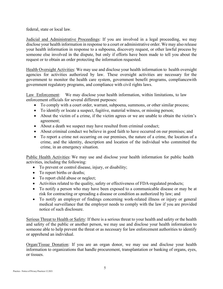federal, state or local law.

Judicial and Administrative Proceedings: If you are involved in a legal proceeding, we may disclose your health information in response to a court or administrative order. We may also release your health information in response to a subpoena, discovery request, or other lawful process by someone else involved in the dispute, but only if efforts have been made to tell you about the request or to obtain an order protecting the information requested.

Health Oversight Activities: We may use and disclose your health information to health oversight agencies for activities authorized by law. These oversight activities are necessary for the government to monitor the health care system, government benefit programs, compliance with government regulatory programs, and compliance with civil rights laws.

Law Enforcement: We may disclose your health information, within limitations, to law enforcement officials for several different purposes:

- To comply with a court order, warrant, subpoena, summons, or other similar process;
- To identify or locate a suspect, fugitive, material witness, or missing person;
- About the victim of a crime, if the victim agrees or we are unable to obtain the victim's agreement;
- About a death we suspect may have resulted from criminal conduct;
- About criminal conduct we believe in good faith to have occurred on our premises; and
- To report a crime not occurring on our premises, the nature of a crime, the location of a crime, and the identity, description and location of the individual who committed the crime, in an emergency situation.

Public Health Activities: We may use and disclose your health information for public health activities, including the following:

- To prevent or control disease, injury, or disability;
- To report births or deaths;
- To report child abuse or neglect;
- Activities related to the quality, safety or effectiveness of FDA-regulated products;
- To notify a person who may have been exposed to a communicable disease or may be at risk for contracting or spreading a disease or condition as authorized by law; and
- To notify an employer of findings concerning work-related illness or injury or general medical surveillance that the employer needs to comply with the law if you are provided notice of such disclosure.

Serious Threat to Health or Safety: If there is a serious threat to your health and safety or the health and safety of the public or another person, we may use and disclose your health information to someone able to help prevent the threat or as necessary for law enforcement authorities to identify or apprehend an individual.

Organ/Tissue Donation: If you are an organ donor, we may use and disclose your health information to organizations that handle procurement, transplantation or banking of organs, eyes, or tissues.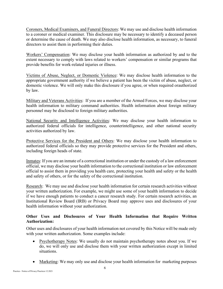Coroners, Medical Examiners, and Funeral Directors: We may use and disclose health information to a coroner or medical examiner. This disclosure may be necessary to identify a deceased person or determine the cause of death. We may also disclose health information, as necessary, to funeral directors to assist them in performing their duties.

Workers' Compensation: We may disclose your health information as authorized by and to the extent necessary to comply with laws related to workers' compensation or similar programs that provide benefits for work-related injuries or illness.

Victims of Abuse, Neglect, or Domestic Violence: We may disclose health information to the appropriate government authority if we believe a patient has been the victim of abuse, neglect, or domestic violence. We will only make this disclosure if you agree, or when required or authorized by law.

Military and Veterans Activities: If you are a member of the Armed Forces, we may disclose your health information to military command authorities. Health information about foreign military personnel may be disclosed to foreign military authorities.

National Security and Intelligence Activities: We may disclose your health information to authorized federal officials for intelligence, counterintelligence, and other national security activities authorized by law.

Protective Services for the President and Others: We may disclose your health information to authorized federal officials so they may provide protective services for the President and others, including foreign heads of state.

Inmates: If you are an inmate of a correctional institution or under the custody of a law enforcement official, we may disclose your health information to the correctional institution or law enforcement official to assist them in providing you health care, protecting your health and safety or the health and safety of others, or for the safety of the correctional institution.

Research: We may use and disclose your health information for certain research activities without your written authorization. For example, we might use some of your health information to decide if we have enough patients to conduct a cancer research study. For certain research activities, an Institutional Review Board (IRB) or Privacy Board may approve uses and disclosures of your health information without your authorization.

#### **Other Uses and Disclosures of Your Health Information that Require Written Authorization:**

Other uses and disclosures of your health information not covered by this Notice will be made only with your written authorization. Some examples include:

- Psychotherapy Notes: We usually do not maintain psychotherapy notes about you. If we do, we will only use and disclose them with your written authorization except in limited situations.
- Marketing: We may only use and disclose your health information for marketing purposes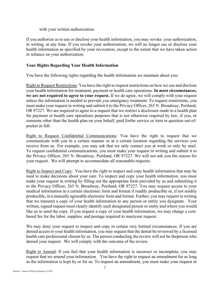with your written authorization.

If you authorize us to use or disclose your health information, you may revoke your authorization, in writing, at any time. If you revoke your authorization, we will no longer use or disclose your health information as specified by your revocation, except to the extent that we have taken action in reliance on your authorization.

#### **Your Rights Regarding Your Health Information**

You have the following rights regarding the health information we maintain about you:

Right to Request Restrictions: You have the right to request restrictions on how we use and disclose your health information for treatment, payment or health care operations. **In most circumstances, we are not required to agree to your request.** If we do agree, we will comply with your request unless the information is needed to provide you emergency treatment. To request restrictions, you must make your request in writing and submit it to the Privacy Officer, 265 N. Broadway, Portland, OR 97227. We are required to agree to a request that we restrict a disclosure made to a health plan for payment or health care operations purposes that is not otherwise required by law, if you, or someone other than the health plan on your behalf, paid forthe service or item in question out-ofpocket in full.

Right to Request Confidential Communications: You have the right to request that we communicate with you in a certain manner or at a certain location regarding the services you receive from us. For example, you may ask that we only contact you at work or only by mail. To request confidential communications, you must make your request in writing and submit it to the Privacy Officer, 265 N. Broadway, Portland, OR 97227. We will not ask you the reason for your request. We will attempt to accommodate all reasonable requests.

Right to Inspect and Copy: You have the right to inspect and copy health information that may be used to make decisions about your care. To inspect and copy your health information, you must make your request in writing by filling out the appropriate form provided by us and submitting it to the Privacy Officer, 265 N. Broadway, Portland, OR 97227. You may request access to your medical information in a certain electronic form and format if readily producible or, if not readily producible, in a mutually agreeable electronic form and format. Further, you may request in writing that we transmit a copy of your health information to any person or entity you designate. Your written, signed request must clearly identify such designated person or entity and where you would like us to send the copy. If you request a copy of your health information, we may charge a costbased fee for the labor, supplies, and postage required to meetyour request.

We may deny your request to inspect and copy in certain very limited circumstances. If you are denied access to your health information, you may request that the denial be reviewed by a licensed health care professional chosen by us. The person conducting the review will not be the person who denied your request. We will comply with the outcome of the review.

Right to Amend: If you feel that your health information is incorrect or incomplete, you may request that we amend your information. You have the right to request an amendment for as long as the information is kept by or for us. To request an amendment, you must make your request in